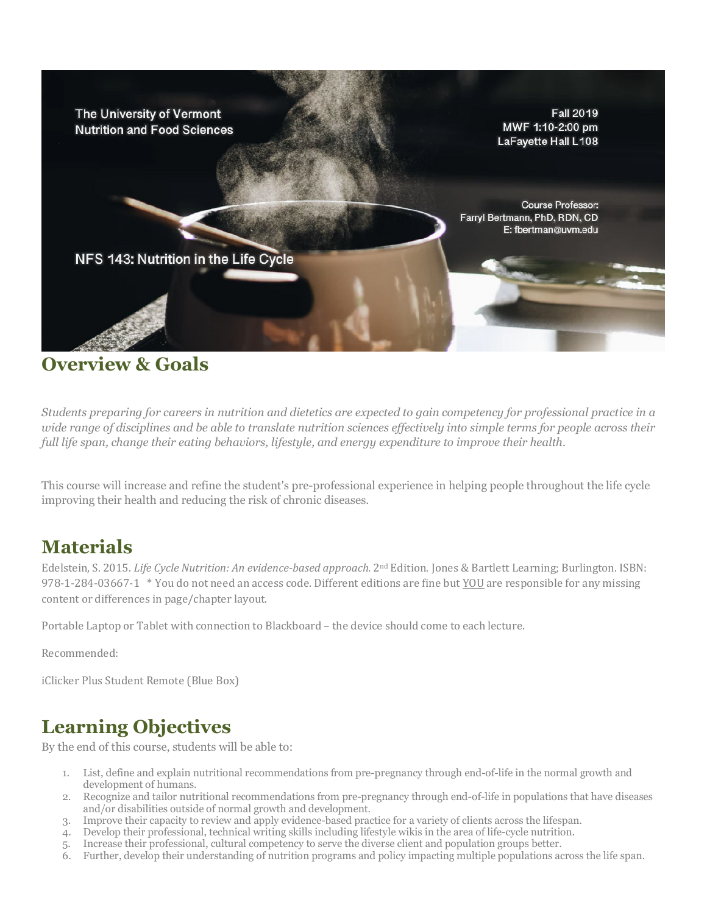

### **Overview & Goals**

*Students preparing for careers in nutrition and dietetics are expected to gain competency for professional practice in a wide range of disciplines and be able to translate nutrition sciences effectively into simple terms for people across their full life span, change their eating behaviors, lifestyle, and energy expenditure to improve their health.*

This course will increase and refine the student's pre-professional experience in helping people throughout the life cycle improving their health and reducing the risk of chronic diseases.

### **Materials**

Edelstein, S. 2015. *Life Cycle Nutrition: An evidence-based approach.* 2<sup>nd</sup> Edition. Jones & Bartlett Learning; Burlington. ISBN: 978-1-284-03667-1 \* You do not need an access code. Different editions are fine but YOU are responsible for any missing content or differences in page/chapter layout.

Portable Laptop or Tablet with connection to Blackboard - the device should come to each lecture.

Recommended:

iClicker Plus Student Remote (Blue Box)

### **Learning Objectives**

By the end of this course, students will be able to:

- 1. List, define and explain nutritional recommendations from pre-pregnancy through end-of-life in the normal growth and development of humans.
- 2. Recognize and tailor nutritional recommendations from pre-pregnancy through end-of-life in populations that have diseases and/or disabilities outside of normal growth and development.
- 3. Improve their capacity to review and apply evidence-based practice for a variety of clients across the lifespan.
- 4. Develop their professional, technical writing skills including lifestyle wikis in the area of life-cycle nutrition.
- 5. Increase their professional, cultural competency to serve the diverse client and population groups better.
- 6. Further, develop their understanding of nutrition programs and policy impacting multiple populations across the life span.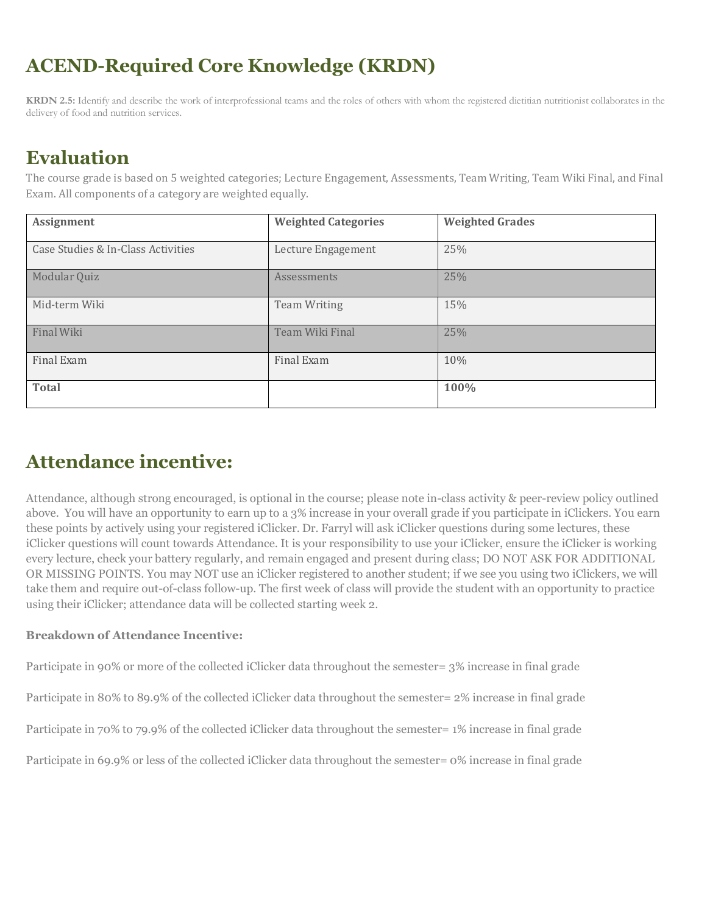# **ACEND-Required Core Knowledge (KRDN)**

**KRDN 2.5:** Identify and describe the work of interprofessional teams and the roles of others with whom the registered dietitian nutritionist collaborates in the delivery of food and nutrition services.

### **Evaluation**

The course grade is based on 5 weighted categories; Lecture Engagement, Assessments, Team Writing, Team Wiki Final, and Final Exam. All components of a category are weighted equally.

| <b>Assignment</b>                  | <b>Weighted Categories</b> | <b>Weighted Grades</b> |
|------------------------------------|----------------------------|------------------------|
| Case Studies & In-Class Activities | Lecture Engagement         | 25%                    |
| Modular Quiz                       | Assessments                | 25%                    |
| Mid-term Wiki                      | <b>Team Writing</b>        | 15%                    |
| Final Wiki                         | Team Wiki Final            | 25%                    |
| Final Exam                         | Final Exam                 | 10%                    |
| <b>Total</b>                       |                            | 100%                   |

## **Attendance incentive:**

Attendance, although strong encouraged, is optional in the course; please note in-class activity & peer-review policy outlined above. You will have an opportunity to earn up to a 3% increase in your overall grade if you participate in iClickers. You earn these points by actively using your registered iClicker. Dr. Farryl will ask iClicker questions during some lectures, these iClicker questions will count towards Attendance. It is your responsibility to use your iClicker, ensure the iClicker is working every lecture, check your battery regularly, and remain engaged and present during class; DO NOT ASK FOR ADDITIONAL OR MISSING POINTS. You may NOT use an iClicker registered to another student; if we see you using two iClickers, we will take them and require out-of-class follow-up. The first week of class will provide the student with an opportunity to practice using their iClicker; attendance data will be collected starting week 2.

#### **Breakdown of Attendance Incentive:**

Participate in 90% or more of the collected iClicker data throughout the semester= 3% increase in final grade

Participate in 80% to 89.9% of the collected iClicker data throughout the semester= 2% increase in final grade

Participate in 70% to 79.9% of the collected iClicker data throughout the semester= 1% increase in final grade

Participate in 69.9% or less of the collected iClicker data throughout the semester= 0% increase in final grade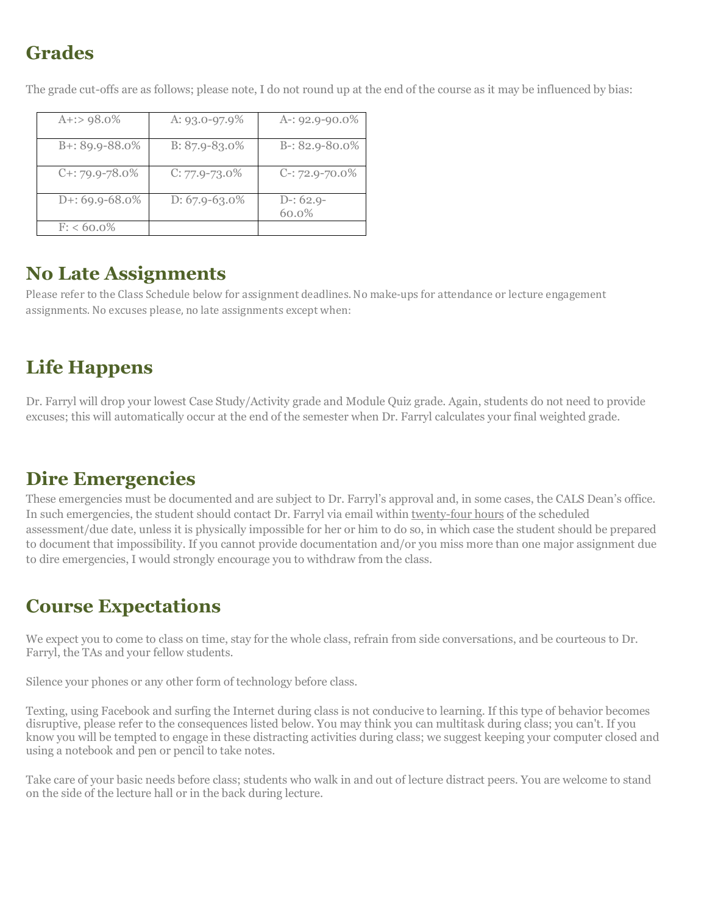# **Grades**

| $A$ +:> 98.0%       | A: $93.0 - 97.9\%$ | A-: $92.9 - 90.0\%$  |
|---------------------|--------------------|----------------------|
| $B + 89.9 - 88.0\%$ | $B: 87.9 - 83.0\%$ | $B-: 82.9-80.0\%$    |
| $C+$ : 79.9-78.0%   | $C: 77.9 - 73.0\%$ | $C-: 72.9-70.0\%$    |
| $D+: 69.9 - 68.0\%$ | $D: 67.9 - 63.0\%$ | $D-: 62.9-$<br>60.0% |
| $F: < 60.0\%$       |                    |                      |

The grade cut-offs are as follows; please note, I do not round up at the end of the course as it may be influenced by bias:

### **No Late Assignments**

Please refer to the Class Schedule below for assignment deadlines. No make-ups for attendance or lecture engagement assignments. No excuses please, no late assignments except when:

### **Life Happens**

Dr. Farryl will drop your lowest Case Study/Activity grade and Module Quiz grade. Again, students do not need to provide excuses; this will automatically occur at the end of the semester when Dr. Farryl calculates your final weighted grade.

### **Dire Emergencies**

These emergencies must be documented and are subject to Dr. Farryl's approval and, in some cases, the CALS Dean's office. In such emergencies, the student should contact Dr. Farryl via email within twenty-four hours of the scheduled assessment/due date, unless it is physically impossible for her or him to do so, in which case the student should be prepared to document that impossibility. If you cannot provide documentation and/or you miss more than one major assignment due to dire emergencies, I would strongly encourage you to withdraw from the class.

## **Course Expectations**

We expect you to come to class on time, stay for the whole class, refrain from side conversations, and be courteous to Dr. Farryl, the TAs and your fellow students.

Silence your phones or any other form of technology before class.

Texting, using Facebook and surfing the Internet during class is not conducive to learning. If this type of behavior becomes disruptive, please refer to the consequences listed below. You may think you can multitask during class; you can't. If you know you will be tempted to engage in these distracting activities during class; we suggest keeping your computer closed and using a notebook and pen or pencil to take notes.

Take care of your basic needs before class; students who walk in and out of lecture distract peers. You are welcome to stand on the side of the lecture hall or in the back during lecture.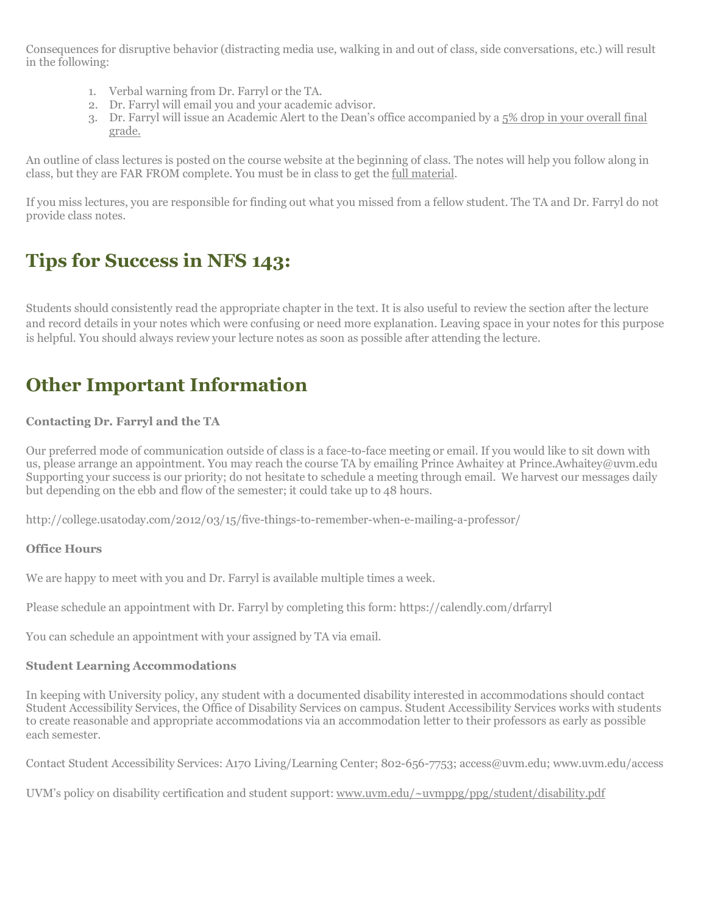Consequences for disruptive behavior (distracting media use, walking in and out of class, side conversations, etc.) will result in the following:

- 1. Verbal warning from Dr. Farryl or the TA.
- 2. Dr. Farryl will email you and your academic advisor.
- 3. Dr. Farryl will issue an Academic Alert to the Dean's office accompanied by a 5% drop in your overall final grade.

An outline of class lectures is posted on the course website at the beginning of class. The notes will help you follow along in class, but they are FAR FROM complete. You must be in class to get the full material.

If you miss lectures, you are responsible for finding out what you missed from a fellow student. The TA and Dr. Farryl do not provide class notes.

# **Tips for Success in NFS 143:**

Students should consistently read the appropriate chapter in the text. It is also useful to review the section after the lecture and record details in your notes which were confusing or need more explanation. Leaving space in your notes for this purpose is helpful. You should always review your lecture notes as soon as possible after attending the lecture.

## **Other Important Information**

#### **Contacting Dr. Farryl and the TA**

Our preferred mode of communication outside of class is a face-to-face meeting or email. If you would like to sit down with us, please arrange an appointment. You may reach the course TA by emailing Prince Awhaitey at Prince.Awhaitey@uvm.edu Supporting your success is our priority; do not hesitate to schedule a meeting through email. We harvest our messages daily but depending on the ebb and flow of the semester; it could take up to 48 hours.

http://college.usatoday.com/2012/03/15/five-things-to-remember-when-e-mailing-a-professor/

#### **Office Hours**

We are happy to meet with you and Dr. Farryl is available multiple times a week.

Please schedule an appointment with Dr. Farryl by completing this form: https://calendly.com/drfarryl

You can schedule an appointment with your assigned by TA via email.

#### **Student Learning Accommodations**

In keeping with University policy, any student with a documented disability interested in accommodations should contact Student Accessibility Services, the Office of Disability Services on campus. Student Accessibility Services works with students to create reasonable and appropriate accommodations via an accommodation letter to their professors as early as possible each semester.

Contact Student Accessibility Services: A170 Living/Learning Center; 802-656-7753; access@uvm.edu; www.uvm.edu/access

UVM's policy on disability certification and student support: www.uvm.edu/~uvmppg/ppg/student/disability.pdf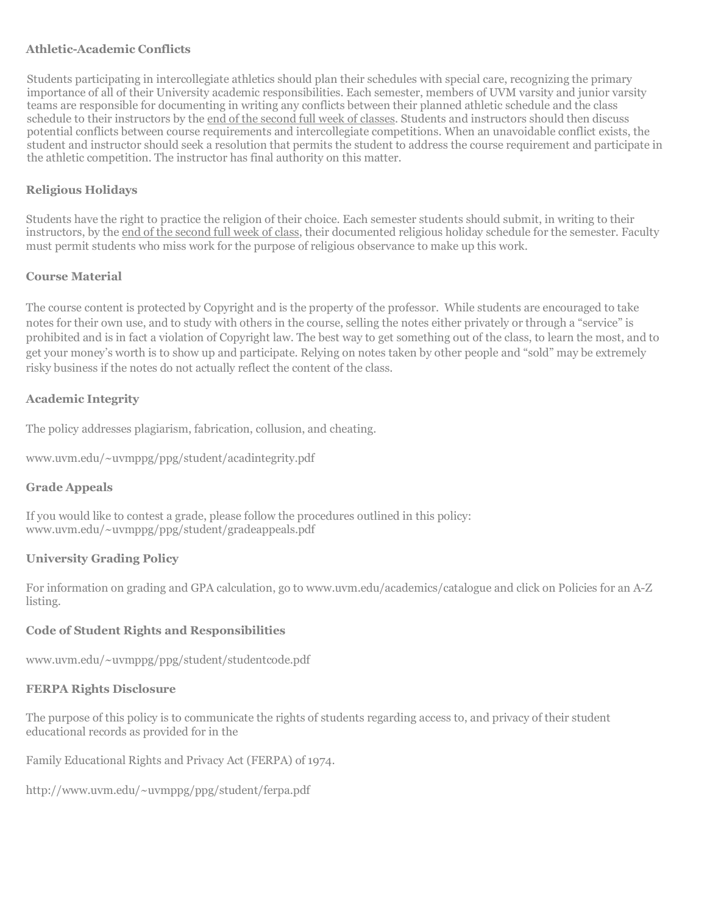#### **Athletic-Academic Conflicts**

Students participating in intercollegiate athletics should plan their schedules with special care, recognizing the primary importance of all of their University academic responsibilities. Each semester, members of UVM varsity and junior varsity teams are responsible for documenting in writing any conflicts between their planned athletic schedule and the class schedule to their instructors by the end of the second full week of classes. Students and instructors should then discuss potential conflicts between course requirements and intercollegiate competitions. When an unavoidable conflict exists, the student and instructor should seek a resolution that permits the student to address the course requirement and participate in the athletic competition. The instructor has final authority on this matter.

#### **Religious Holidays**

Students have the right to practice the religion of their choice. Each semester students should submit, in writing to their instructors, by the end of the second full week of class, their documented religious holiday schedule for the semester. Faculty must permit students who miss work for the purpose of religious observance to make up this work.

#### **Course Material**

The course content is protected by Copyright and is the property of the professor. While students are encouraged to take notes for their own use, and to study with others in the course, selling the notes either privately or through a "service" is prohibited and is in fact a violation of Copyright law. The best way to get something out of the class, to learn the most, and to get your money's worth is to show up and participate. Relying on notes taken by other people and "sold" may be extremely risky business if the notes do not actually reflect the content of the class.

#### **Academic Integrity**

The policy addresses plagiarism, fabrication, collusion, and cheating.

www.uvm.edu/~uvmppg/ppg/student/acadintegrity.pdf

#### **Grade Appeals**

If you would like to contest a grade, please follow the procedures outlined in this policy: www.uvm.edu/~uvmppg/ppg/student/gradeappeals.pdf

#### **University Grading Policy**

For information on grading and GPA calculation, go to www.uvm.edu/academics/catalogue and click on Policies for an A-Z listing.

#### **Code of Student Rights and Responsibilities**

www.uvm.edu/~uvmppg/ppg/student/studentcode.pdf

#### **FERPA Rights Disclosure**

The purpose of this policy is to communicate the rights of students regarding access to, and privacy of their student educational records as provided for in the

Family Educational Rights and Privacy Act (FERPA) of 1974.

http://www.uvm.edu/~uvmppg/ppg/student/ferpa.pdf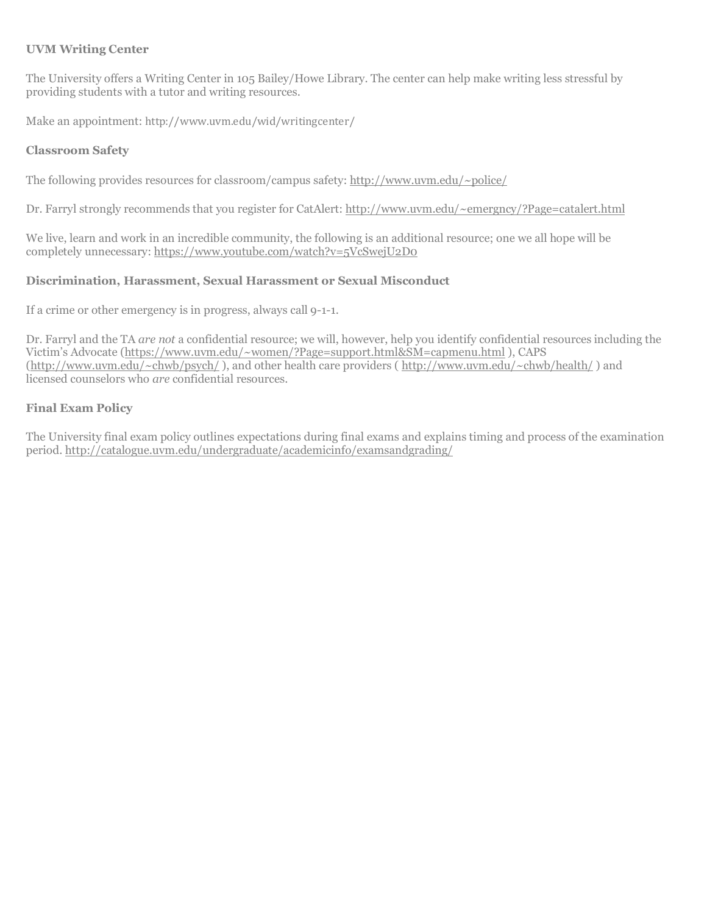#### **UVM Writing Center**

The University offers a Writing Center in 105 Bailey/Howe Library. The center can help make writing less stressful by providing students with a tutor and writing resources.

Make an appointment: http://www.uvm.edu/wid/writingcenter/ 

#### **Classroom Safety**

The following provides resources for classroom/campus safety: http://www.uvm.edu/~police/

Dr. Farryl strongly recommends that you register for CatAlert: http://www.uvm.edu/~emergncy/?Page=catalert.html

We live, learn and work in an incredible community, the following is an additional resource; one we all hope will be completely unnecessary: https://www.youtube.com/watch?v=5VcSwejU2D0

#### **Discrimination, Harassment, Sexual Harassment or Sexual Misconduct**

If a crime or other emergency is in progress, always call 9-1-1.

Dr. Farryl and the TA *are not* a confidential resource; we will, however, help you identify confidential resources including the Victim's Advocate (https://www.uvm.edu/~women/?Page=support.html&SM=capmenu.html ), CAPS (http://www.uvm.edu/~chwb/psych/ ), and other health care providers ( http://www.uvm.edu/~chwb/health/ ) and licensed counselors who *are* confidential resources.

#### **Final Exam Policy**

The University final exam policy outlines expectations during final exams and explains timing and process of the examination period. http://catalogue.uvm.edu/undergraduate/academicinfo/examsandgrading/